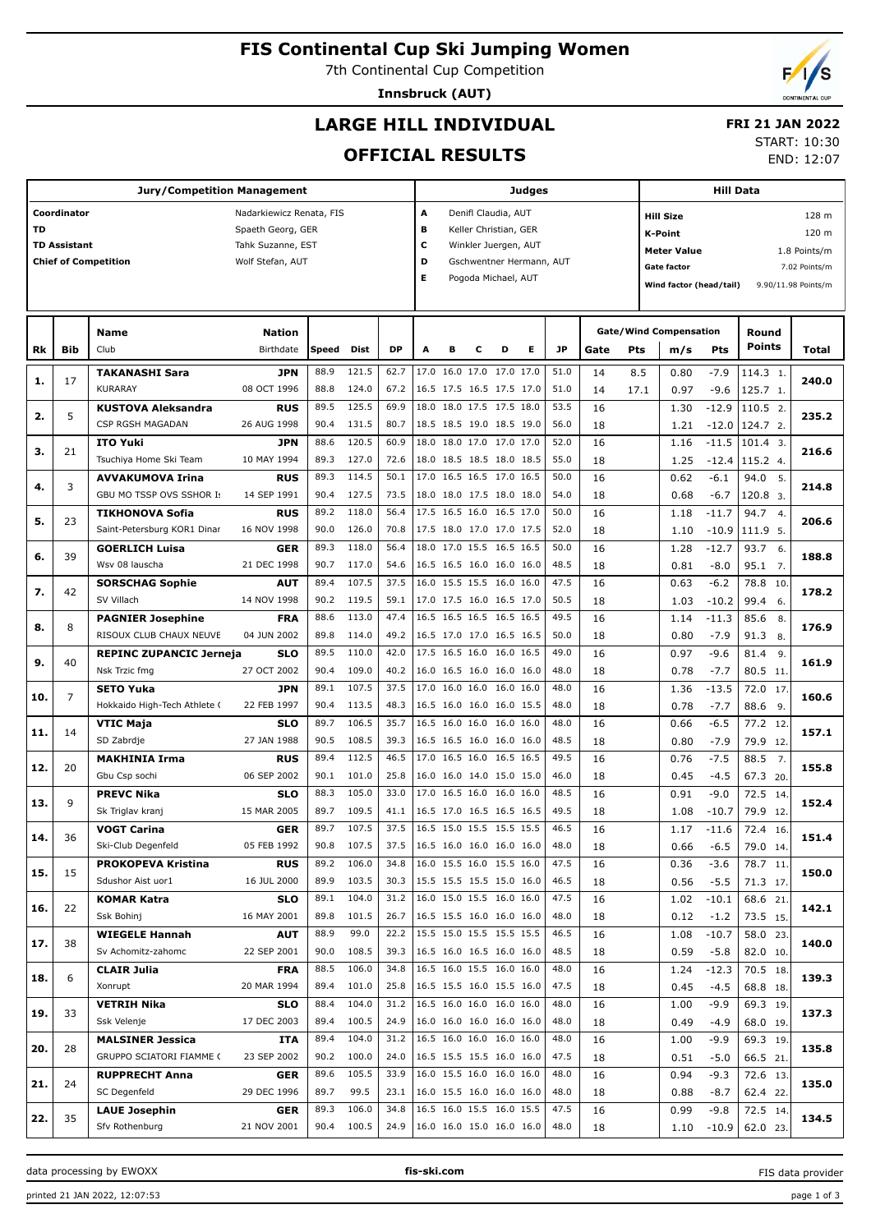## **FIS Continental Cup Ski Jumping Women**

7th Continental Cup Competition

**Innsbruck (AUT)**

# **LARGE HILL INDIVIDUAL**

## **FRI 21 JAN 2022**

#### **OFFICIAL RESULTS**

 $\top$ 

START: 10:30 END: 12:07

|           |                     | <b>Jury/Competition Management</b> |                          |            |            |           |                               |   |   |                          | Judges                   |      |      |      | <b>Hill Data</b>                   |            |                          |                     |  |  |  |
|-----------|---------------------|------------------------------------|--------------------------|------------|------------|-----------|-------------------------------|---|---|--------------------------|--------------------------|------|------|------|------------------------------------|------------|--------------------------|---------------------|--|--|--|
|           | Coordinator         |                                    | Nadarkiewicz Renata, FIS |            |            |           | А                             |   |   | Denifl Claudia, AUT      |                          |      |      |      | <b>Hill Size</b>                   |            |                          | 128 m               |  |  |  |
| <b>TD</b> |                     |                                    | Spaeth Georg, GER        |            |            |           | в                             |   |   | Keller Christian, GER    |                          |      |      |      | K-Point                            |            |                          | 120 m               |  |  |  |
|           | <b>TD Assistant</b> |                                    | Tahk Suzanne, EST        |            |            |           | с                             |   |   | Winkler Juergen, AUT     |                          |      |      |      |                                    |            |                          |                     |  |  |  |
|           |                     | <b>Chief of Competition</b>        | Wolf Stefan, AUT         |            |            |           | D<br>Gschwentner Hermann, AUT |   |   |                          |                          |      |      |      | <b>Meter Value</b><br>1.8 Points/m |            |                          |                     |  |  |  |
|           |                     |                                    |                          |            |            |           | Е                             |   |   | Pogoda Michael, AUT      |                          |      |      |      | <b>Gate factor</b>                 |            |                          | 7.02 Points/m       |  |  |  |
|           |                     |                                    |                          |            |            |           |                               |   |   |                          |                          |      |      |      | Wind factor (head/tail)            |            |                          | 9.90/11.98 Points/m |  |  |  |
|           |                     |                                    |                          |            |            |           |                               |   |   |                          |                          |      |      |      |                                    |            |                          |                     |  |  |  |
|           |                     |                                    |                          |            |            |           |                               |   |   |                          |                          |      |      |      |                                    |            |                          |                     |  |  |  |
|           |                     | <b>Name</b>                        | <b>Nation</b>            |            |            |           |                               |   |   |                          |                          |      |      |      | <b>Gate/Wind Compensation</b>      |            | Round<br><b>Points</b>   |                     |  |  |  |
| Rk        | Bib                 | Club                               | Birthdate                | Speed Dist |            | <b>DP</b> | Α                             | в | с | D                        | Е                        | JP   | Gate | Pts  | m/s                                | <b>Pts</b> |                          | Total               |  |  |  |
|           | 17                  | <b>TAKANASHI Sara</b>              | <b>JPN</b>               | 88.9       | 121.5      | 62.7      |                               |   |   | 17.0 16.0 17.0 17.0 17.0 |                          | 51.0 | 14   | 8.5  | 0.80                               | $-7.9$     | 114.3 1.                 | 240.0               |  |  |  |
| 1.        |                     | KURARAY                            | 08 OCT 1996              | 88.8       | 124.0      | 67.2      |                               |   |   | 16.5 17.5 16.5 17.5 17.0 |                          | 51.0 | 14   | 17.1 | 0.97                               | $-9.6$     | 125.7 1.                 |                     |  |  |  |
|           |                     | <b>KUSTOVA Aleksandra</b>          | <b>RUS</b>               | 89.5       | 125.5      | 69.9      |                               |   |   | 18.0 18.0 17.5 17.5 18.0 |                          | 53.5 | 16   |      | 1.30                               | $-12.9$    | 110.5 2.                 |                     |  |  |  |
| 2.        | 5                   | CSP RGSH MAGADAN                   | 26 AUG 1998              | 90.4       | 131.5      | 80.7      |                               |   |   | 18.5 18.5 19.0 18.5 19.0 |                          | 56.0 | 18   |      | 1.21                               | $-12.0$    | 124.7 2.                 | 235.2               |  |  |  |
|           |                     | <b>ITO Yuki</b>                    | <b>JPN</b>               | 88.6       | 120.5      | 60.9      |                               |   |   | 18.0 18.0 17.0 17.0 17.0 |                          | 52.0 | 16   |      | 1.16                               | $-11.5$    | $101.4$ 3.               |                     |  |  |  |
| з.        | 21                  | Tsuchiya Home Ski Team             | 10 MAY 1994              | 89.3       | 127.0      | 72.6      |                               |   |   | 18.0 18.5 18.5 18.0 18.5 |                          | 55.0 | 18   |      | 1.25                               | $-12.4$    | 115.2 4.                 | 216.6               |  |  |  |
|           |                     | <b>AVVAKUMOVA Irina</b>            | <b>RUS</b>               | 89.3       | 114.5      | 50.1      |                               |   |   | 17.0 16.5 16.5 17.0 16.5 |                          | 50.0 | 16   |      | 0.62                               | $-6.1$     | 94.0<br>5.               |                     |  |  |  |
| 4.        | 3                   | GBU MO TSSP OVS SSHOR I:           | 14 SEP 1991              | 90.4       | 127.5      | 73.5      |                               |   |   | 18.0 18.0 17.5 18.0 18.0 |                          | 54.0 | 18   |      | 0.68                               | $-6.7$     | 120.8 3.                 | 214.8               |  |  |  |
|           |                     | <b>TIKHONOVA Sofia</b>             | <b>RUS</b>               | 89.2       | 118.0      | 56.4      |                               |   |   | 17.5 16.5 16.0 16.5 17.0 |                          | 50.0 | 16   |      | 1.18                               | $-11.7$    | 94.7<br>$\overline{4}$   |                     |  |  |  |
| 5.        | 23                  | Saint-Petersburg KOR1 Dinar        | 16 NOV 1998              | 90.0       | 126.0      | 70.8      |                               |   |   | 17.5 18.0 17.0 17.0 17.5 |                          | 52.0 | 18   |      | 1.10                               | $-10.9$    | 111.9 5.                 | 206.6               |  |  |  |
|           |                     | <b>GOERLICH Luisa</b>              | <b>GER</b>               | 89.3       | 118.0      | 56.4      |                               |   |   | 18.0 17.0 15.5 16.5 16.5 |                          | 50.0 | 16   |      | 1.28                               | $-12.7$    | 93.7<br>6.               |                     |  |  |  |
| 6.        | 39                  | Wsv 08 lauscha                     | 21 DEC 1998              | 90.7       | 117.0      | 54.6      |                               |   |   | 16.5 16.5 16.0 16.0 16.0 |                          | 48.5 | 18   |      | 0.81                               | $-8.0$     | 95.1<br>$\overline{7}$ . | 188.8               |  |  |  |
|           |                     | <b>SORSCHAG Sophie</b>             | <b>AUT</b>               | 89.4       | 107.5      | 37.5      |                               |   |   | 16.0 15.5 15.5 16.0 16.0 |                          | 47.5 | 16   |      | 0.63                               | $-6.2$     | 78.8<br>10               |                     |  |  |  |
| 7.        | 42                  | SV Villach                         | 14 NOV 1998              | 90.2       | 119.5      | 59.1      |                               |   |   | 17.0 17.5 16.0 16.5 17.0 |                          | 50.5 | 18   |      | 1.03                               | $-10.2$    | 99.4<br>6.               | 178.2               |  |  |  |
|           |                     | <b>PAGNIER Josephine</b>           | <b>FRA</b>               | 88.6       | 113.0      | 47.4      |                               |   |   | 16.5 16.5 16.5 16.5 16.5 |                          | 49.5 | 16   |      | 1.14                               | $-11.3$    | 85.6<br>8.               |                     |  |  |  |
| 8.        | 8                   | RISOUX CLUB CHAUX NEUVE            | 04 JUN 2002              | 89.8       | 114.0      | 49.2      |                               |   |   | 16.5 17.0 17.0 16.5 16.5 |                          | 50.0 | 18   |      | 0.80                               | $-7.9$     | 91.3<br>8.               | 176.9               |  |  |  |
|           |                     | <b>REPINC ZUPANCIC Jerneja</b>     | <b>SLO</b>               | 89.5       | 110.0      | 42.0      |                               |   |   | 17.5 16.5 16.0 16.0 16.5 |                          | 49.0 | 16   |      | 0.97                               | $-9.6$     | 81.4<br>9.               |                     |  |  |  |
| 9.        | 40                  | Nsk Trzic fmg                      | 27 OCT 2002              | 90.4       | 109.0      | 40.2      |                               |   |   | 16.0 16.5 16.0 16.0 16.0 |                          | 48.0 | 18   |      | 0.78                               | $-7.7$     | 80.5 11.                 | 161.9               |  |  |  |
|           |                     | <b>SETO Yuka</b>                   | <b>JPN</b>               | 89.1       | 107.5      | 37.5      |                               |   |   | 17.0 16.0 16.0 16.0 16.0 |                          | 48.0 | 16   |      | $-13.5$<br>1.36                    |            | 72.0<br>17               |                     |  |  |  |
| 10.       | $\overline{7}$      | Hokkaido High-Tech Athlete (       | 22 FEB 1997              | 90.4       | 113.5      | 48.3      |                               |   |   | 16.5 16.0 16.0 16.0 15.5 |                          | 48.0 | 18   |      | 0.78                               | $-7.7$     | 88.6<br>9.               | 160.6               |  |  |  |
|           |                     | <b>VTIC Maja</b>                   | <b>SLO</b>               | 89.7       | 106.5      | 35.7      |                               |   |   | 16.5 16.0 16.0 16.0 16.0 |                          | 48.0 | 16   |      | 0.66                               | $-6.5$     | 77.2 12.                 |                     |  |  |  |
| 11.       | 14                  | SD Zabrdje                         | 27 JAN 1988              | 90.5       | 108.5      | 39.3      |                               |   |   | 16.5 16.5 16.0 16.0 16.0 |                          | 48.5 | 18   |      | 0.80                               | $-7.9$     | 79.9 12.                 | 157.1               |  |  |  |
|           |                     | <b>MAKHINIA Irma</b>               | <b>RUS</b>               | 89.4       | 112.5      | 46.5      |                               |   |   | 17.0 16.5 16.0 16.5 16.5 |                          | 49.5 | 16   |      | 0.76                               | $-7.5$     | 88.5<br>7.               |                     |  |  |  |
| 12.       | 20                  | Gbu Csp sochi                      | 06 SEP 2002              | 90.1       | 101.0      | 25.8      |                               |   |   | 16.0 16.0 14.0 15.0 15.0 |                          | 46.0 | 18   |      | 0.45                               | $-4.5$     |                          | 155.8               |  |  |  |
|           |                     |                                    |                          | 88.3       | 105.0      | 33.0      |                               |   |   | 17.0 16.5 16.0 16.0 16.0 |                          | 48.5 |      |      |                                    | $-9.0$     | 67.3 20.                 |                     |  |  |  |
| 13.       | 9                   | <b>PREVC Nika</b>                  | <b>SLO</b>               |            |            |           |                               |   |   |                          |                          |      | 16   |      | 0.91                               |            | 72.5 14.                 | 152.4               |  |  |  |
|           |                     | Sk Triglav kranj                   | 15 MAR 2005              | 89.7       | 109.5      | 41.1      |                               |   |   | 16.5 17.0 16.5 16.5 16.5 |                          | 49.5 | 18   |      | 1.08                               | $-10.7$    | 79.9 12.                 |                     |  |  |  |
| 14.       | 36                  | <b>VOGT Carina</b>                 | <b>GER</b>               | 89.7       | 107.5      | 37.5      |                               |   |   | 16.5 15.0 15.5 15.5 15.5 |                          | 46.5 | 16   |      | 1.17                               | $-11.6$    | 72.4 16.                 | 151.4               |  |  |  |
|           |                     | Ski-Club Degenfeld                 | 05 FEB 1992              | 90.8       | 107.5      | 37.5      |                               |   |   | 16.5 16.0 16.0 16.0 16.0 |                          | 48.0 | 18   |      | 0.66                               | $-6.5$     | 79.0 14.                 |                     |  |  |  |
| 15.       | 15                  | <b>PROKOPEVA Kristina</b>          | <b>RUS</b>               | 89.2       | 106.0      | 34.8      |                               |   |   | 16.0 15.5 16.0 15.5 16.0 |                          | 47.5 | 16   |      | 0.36                               | $-3.6$     | 78.7 11.                 | 150.0               |  |  |  |
|           |                     | Sdushor Aist uor1                  | 16 JUL 2000              |            | 89.9 103.5 | 30.3      |                               |   |   | 15.5 15.5 15.5 15.0 16.0 |                          | 46.5 | 18   |      | 0.56                               | $-5.5$     | 71.3 17.                 |                     |  |  |  |
| 16.       | 22                  | <b>KOMAR Katra</b>                 | <b>SLO</b>               | 89.1       | 104.0      | 31.2      |                               |   |   | 16.0 15.0 15.5 16.0 16.0 |                          | 47.5 | 16   |      | 1.02                               | $-10.1$    | 68.6 21.                 | 142.1               |  |  |  |
|           |                     | Ssk Bohinj                         | 16 MAY 2001              | 89.8       | 101.5      | 26.7      |                               |   |   | 16.5 15.5 16.0 16.0 16.0 |                          | 48.0 | 18   |      | 0.12                               | $-1.2$     | 73.5 15.                 |                     |  |  |  |
| 17.       | 38                  | <b>WIEGELE Hannah</b>              | <b>AUT</b>               | 88.9       | 99.0       | 22.2      |                               |   |   | 15.5 15.0 15.5 15.5 15.5 |                          | 46.5 | 16   |      | 1.08                               | $-10.7$    | 58.0 23.                 | 140.0               |  |  |  |
|           |                     | Sv Achomitz-zahomc                 | 22 SEP 2001              | 90.0       | 108.5      | 39.3      |                               |   |   | 16.5 16.0 16.5 16.0 16.0 |                          | 48.5 | 18   |      | 0.59                               | $-5.8$     | 82.0 10.                 |                     |  |  |  |
| 18.       | 6                   | <b>CLAIR Julia</b>                 | <b>FRA</b>               | 88.5       | 106.0      | 34.8      |                               |   |   | 16.5 16.0 15.5 16.0 16.0 |                          | 48.0 | 16   |      | 1.24                               | $-12.3$    | 70.5 18.                 | 139.3               |  |  |  |
|           |                     | Xonrupt                            | 20 MAR 1994              | 89.4       | 101.0      | 25.8      |                               |   |   | 16.5 15.5 16.0 15.5 16.0 |                          | 47.5 | 18   |      | 0.45                               | $-4.5$     | 68.8 18.                 |                     |  |  |  |
| 19.       | 33                  | <b>VETRIH Nika</b>                 | <b>SLO</b>               | 88.4       | 104.0      | 31.2      |                               |   |   | 16.5 16.0 16.0 16.0 16.0 |                          | 48.0 | 16   |      | 1.00                               | $-9.9$     | 69.3 19.                 | 137.3               |  |  |  |
|           |                     | Ssk Velenje                        | 17 DEC 2003              | 89.4       | 100.5      | 24.9      |                               |   |   | 16.0 16.0 16.0 16.0 16.0 |                          | 48.0 | 18   |      | 0.49                               | $-4.9$     | 68.0 19.                 |                     |  |  |  |
| 20.       | 28                  | <b>MALSINER Jessica</b>            | ITA                      | 89.4       | 104.0      | 31.2      |                               |   |   | 16.5 16.0 16.0 16.0 16.0 |                          | 48.0 | 16   |      | 1.00                               | -9.9       | 69.3 19.                 | 135.8               |  |  |  |
|           |                     | GRUPPO SCIATORI FIAMME (           | 23 SEP 2002              |            | 90.2 100.0 | 24.0      |                               |   |   | 16.5 15.5 15.5 16.0 16.0 |                          | 47.5 | 18   |      | 0.51                               | $-5.0$     | 66.5 21                  |                     |  |  |  |
| 21.       | 24                  | <b>RUPPRECHT Anna</b>              | <b>GER</b>               | 89.6       | 105.5      | 33.9      |                               |   |   | 16.0 15.5 16.0 16.0 16.0 |                          | 48.0 | 16   |      | 0.94                               | $-9.3$     | 72.6 13.                 | 135.0               |  |  |  |
|           |                     | SC Degenfeld                       | 29 DEC 1996              | 89.7       | 99.5       | 23.1      |                               |   |   | 16.0 15.5 16.0 16.0 16.0 |                          | 48.0 | 18   |      | 0.88                               | $-8.7$     | 62.4 22.                 |                     |  |  |  |
| 22.       | 35                  | <b>LAUE Josephin</b>               | <b>GER</b>               | 89.3       | 106.0      | 34.8      |                               |   |   | 16.5 16.0 15.5 16.0 15.5 |                          | 47.5 | 16   |      | 0.99                               | $-9.8$     | 72.5 14.                 | 134.5               |  |  |  |
|           |                     | Sfv Rothenburg                     | 21 NOV 2001              |            | 90.4 100.5 | 24.9      |                               |   |   |                          | 16.0 16.0 15.0 16.0 16.0 | 48.0 | 18   |      | 1.10                               | $-10.9$    | 62.0 23.                 |                     |  |  |  |
|           |                     |                                    |                          |            |            |           |                               |   |   |                          |                          |      |      |      |                                    |            |                          |                     |  |  |  |

data processing by EWOXX **fis-ski.com**

FIS data provider

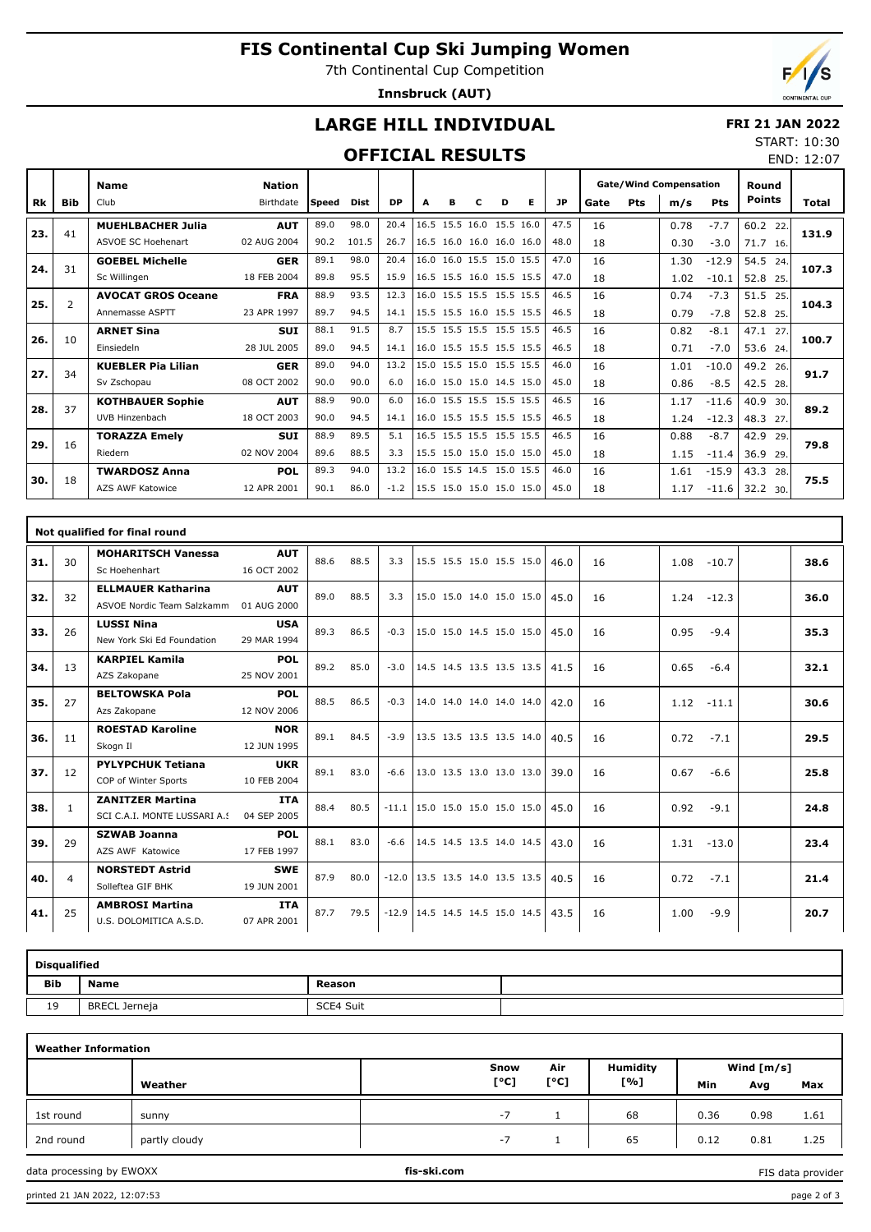## **FIS Continental Cup Ski Jumping Women**

7th Continental Cup Competition

**Innsbruck (AUT)**

END: 12:07

## **LARGE HILL INDIVIDUAL**

#### **FRI 21 JAN 2022** START: 10:30

#### **OFFICIAL RESULTS**

|     |                | <b>Name</b>               | <b>Nation</b> |       |       |           |   |   |   |                          |   |           | <b>Gate/Wind Compensation</b><br>Pts<br>Gate<br>m/s |  |      |            | Round         |       |
|-----|----------------|---------------------------|---------------|-------|-------|-----------|---|---|---|--------------------------|---|-----------|-----------------------------------------------------|--|------|------------|---------------|-------|
| Rk  | Bib            | Club                      | Birthdate     | Speed | Dist  | <b>DP</b> | A | в | c | D                        | Е | <b>JP</b> |                                                     |  |      | <b>Pts</b> | <b>Points</b> | Total |
| 23. | 41             | <b>MUEHLBACHER Julia</b>  | <b>AUT</b>    | 89.0  | 98.0  | 20.4      |   |   |   | 16.5 15.5 16.0 15.5 16.0 |   | 47.5      | 16                                                  |  | 0.78 | $-7.7$     | 60.2<br>22    | 131.9 |
|     |                | <b>ASVOE SC Hoehenart</b> | 02 AUG 2004   | 90.2  | 101.5 | 26.7      |   |   |   | 16.5 16.0 16.0 16.0 16.0 |   | 48.0      | 18                                                  |  | 0.30 | $-3.0$     | 71.7 16.      |       |
| 24. | 31             | <b>GOEBEL Michelle</b>    | <b>GER</b>    | 89.1  | 98.0  | 20.4      |   |   |   | 16.0 16.0 15.5 15.0 15.5 |   | 47.0      | 16                                                  |  | 1.30 | $-12.9$    | 54.5<br>24.   | 107.3 |
|     |                | Sc Willingen              | 18 FEB 2004   | 89.8  | 95.5  | 15.9      |   |   |   | 16.5 15.5 16.0 15.5 15.5 |   | 47.0      | 18                                                  |  | 1.02 | $-10.1$    | 52.8<br>25.   |       |
| 25. | $\overline{2}$ | <b>AVOCAT GROS Oceane</b> | <b>FRA</b>    | 88.9  | 93.5  | 12.3      |   |   |   | 16.0 15.5 15.5 15.5 15.5 |   | 46.5      | 16                                                  |  | 0.74 | $-7.3$     | 51.5<br>25.   | 104.3 |
|     |                | Annemasse ASPTT           | 23 APR 1997   | 89.7  | 94.5  | 14.1      |   |   |   | 15.5 15.5 16.0 15.5 15.5 |   | 46.5      | 18                                                  |  | 0.79 | $-7.8$     | 52.8<br>25.   |       |
| 26. | 10             | <b>ARNET Sina</b>         | <b>SUI</b>    | 88.1  | 91.5  | 8.7       |   |   |   | 15.5 15.5 15.5 15.5 15.5 |   | 46.5      | 16                                                  |  | 0.82 | $-8.1$     | 47.1<br>27    | 100.7 |
|     |                | Einsiedeln                | 28 JUL 2005   | 89.0  | 94.5  | 14.1      |   |   |   | 16.0 15.5 15.5 15.5 15.5 |   | 46.5      | 18                                                  |  | 0.71 | $-7.0$     | 53.6 24.      |       |
| 27. | 34             | <b>KUEBLER Pia Lilian</b> | <b>GER</b>    | 89.0  | 94.0  | 13.2      |   |   |   | 15.0 15.5 15.0 15.5 15.5 |   | 46.0      | 16                                                  |  | 1.01 | $-10.0$    | 49.2<br>26.   | 91.7  |
|     |                | Sv Zschopau               | 08 OCT 2002   | 90.0  | 90.0  | 6.0       |   |   |   | 16.0 15.0 15.0 14.5 15.0 |   | 45.0      | 18                                                  |  | 0.86 | $-8.5$     | 42.5<br>28.   |       |
| 28. | 37             | <b>KOTHBAUER Sophie</b>   | <b>AUT</b>    | 88.9  | 90.0  | 6.0       |   |   |   | 16.0 15.5 15.5 15.5 15.5 |   | 46.5      | 16                                                  |  | 1.17 | $-11.6$    | 40.9<br>30.   | 89.2  |
|     |                | UVB Hinzenbach            | 18 OCT 2003   | 90.0  | 94.5  | 14.1      |   |   |   | 16.0 15.5 15.5 15.5 15.5 |   | 46.5      | 18                                                  |  | 1.24 | $-12.3$    | 48.3<br>27.   |       |
| 29. | 16             | <b>TORAZZA Emely</b>      | <b>SUI</b>    | 88.9  | 89.5  | 5.1       |   |   |   | 16.5 15.5 15.5 15.5 15.5 |   | 46.5      | 16                                                  |  | 0.88 | $-8.7$     | 42.9<br>29.   | 79.8  |
|     |                | Riedern                   | 02 NOV 2004   | 89.6  | 88.5  | 3.3       |   |   |   | 15.5 15.0 15.0 15.0 15.0 |   | 45.0      | 18                                                  |  | 1.15 | $-11.4$    | 36.9<br>29.   |       |
| 30. | 18             | <b>TWARDOSZ Anna</b>      | <b>POL</b>    | 89.3  | 94.0  | 13.2      |   |   |   | 16.0 15.5 14.5 15.0 15.5 |   | 46.0      | 16                                                  |  | 1.61 | $-15.9$    | 43.3<br>28.   | 75.5  |
|     |                | AZS AWF Katowice          | 12 APR 2001   | 90.1  | 86.0  | $-1.2$    |   |   |   | 15.5 15.0 15.0 15.0 15.0 |   | 45.0      | 18                                                  |  | 1.17 | $-11.6$    | 32.2 30.      |       |

|     |                | Not qualified for final round                            |                           |      |      |         |                                  |  |      |    |                 |      |
|-----|----------------|----------------------------------------------------------|---------------------------|------|------|---------|----------------------------------|--|------|----|-----------------|------|
| 31. | 30             | <b>MOHARITSCH Vanessa</b><br>Sc Hoehenhart               | <b>AUT</b><br>16 OCT 2002 | 88.6 | 88.5 | 3.3     | 15.5 15.5 15.0 15.5 15.0         |  | 46.0 | 16 | 1.08<br>$-10.7$ | 38.6 |
| 32. | 32             | <b>ELLMAUER Katharina</b><br>ASVOE Nordic Team Salzkamm  | <b>AUT</b><br>01 AUG 2000 | 89.0 | 88.5 | 3.3     | 15.0 15.0 14.0 15.0 15.0         |  | 45.0 | 16 | 1.24<br>$-12.3$ | 36.0 |
| 33. | 26             | <b>LUSSI Nina</b><br>New York Ski Ed Foundation          | <b>USA</b><br>29 MAR 1994 | 89.3 | 86.5 | $-0.3$  | 15.0 15.0 14.5 15.0 15.0         |  | 45.0 | 16 | 0.95<br>$-9.4$  | 35.3 |
| 34. | 13             | <b>KARPIEL Kamila</b><br>AZS Zakopane                    | POL<br>25 NOV 2001        | 89.2 | 85.0 | $-3.0$  | 14.5 14.5 13.5 13.5 13.5         |  | 41.5 | 16 | 0.65<br>$-6.4$  | 32.1 |
| 35. | 27             | <b>BELTOWSKA Pola</b><br>Azs Zakopane                    | <b>POL</b><br>12 NOV 2006 | 88.5 | 86.5 | $-0.3$  | 14.0 14.0 14.0 14.0 14.0         |  | 42.0 | 16 | 1.12<br>$-11.1$ | 30.6 |
| 36. | 11             | <b>ROESTAD Karoline</b><br>Skogn II                      | <b>NOR</b><br>12 JUN 1995 | 89.1 | 84.5 | $-3.9$  | 13.5 13.5 13.5 13.5 14.0         |  | 40.5 | 16 | $-7.1$<br>0.72  | 29.5 |
| 37. | 12             | <b>PYLYPCHUK Tetiana</b><br>COP of Winter Sports         | <b>UKR</b><br>10 FEB 2004 | 89.1 | 83.0 | $-6.6$  | 13.0 13.5 13.0 13.0 13.0         |  | 39.0 | 16 | 0.67<br>$-6.6$  | 25.8 |
| 38. | $\mathbf{1}$   | <b>ZANITZER Martina</b><br>SCI C.A.I. MONTE LUSSARI A.S. | <b>ITA</b><br>04 SEP 2005 | 88.4 | 80.5 | $-11.1$ | 15.0 15.0 15.0 15.0 15.0         |  | 45.0 | 16 | 0.92<br>$-9.1$  | 24.8 |
| 39. | 29             | <b>SZWAB Joanna</b><br>AZS AWF Katowice                  | POL<br>17 FEB 1997        | 88.1 | 83.0 | $-6.6$  | 14.5 14.5 13.5 14.0 14.5         |  | 43.0 | 16 | 1.31<br>$-13.0$ | 23.4 |
| 40. | $\overline{4}$ | <b>NORSTEDT Astrid</b><br>Solleftea GIF BHK              | <b>SWE</b><br>19 JUN 2001 | 87.9 | 80.0 |         | $-12.0$ 13.5 13.5 14.0 13.5 13.5 |  | 40.5 | 16 | 0.72<br>$-7.1$  | 21.4 |
| 41. | 25             | <b>AMBROSI Martina</b><br>U.S. DOLOMITICA A.S.D.         | <b>ITA</b><br>07 APR 2001 | 87.7 | 79.5 | $-12.9$ | $14.5$ 14.5 14.5 15.0 14.5       |  | 43.5 | 16 | 1.00<br>$-9.9$  | 20.7 |

|     | <b>Disqualified</b>  |           |  |  |  |  |  |  |  |  |  |  |  |
|-----|----------------------|-----------|--|--|--|--|--|--|--|--|--|--|--|
| Bib | <b>Name</b>          | Reason    |  |  |  |  |  |  |  |  |  |  |  |
| 19  | <b>BRECL Jerneja</b> | SCE4 Suit |  |  |  |  |  |  |  |  |  |  |  |

| <b>Weather Information</b> |               |      |      |                 |      |              |      |
|----------------------------|---------------|------|------|-----------------|------|--------------|------|
|                            |               | Snow | Air  | <b>Humidity</b> |      | Wind $[m/s]$ |      |
|                            | Weather       | [°C] | [°C] | [%]             | Min  | Avg          | Max  |
| 1st round                  | sunny         | $-1$ |      | 68              | 0.36 | 0.98         | 1.61 |
| 2nd round                  | partly cloudy | $-1$ |      | 65              | 0.12 | 0.81         | 1.25 |